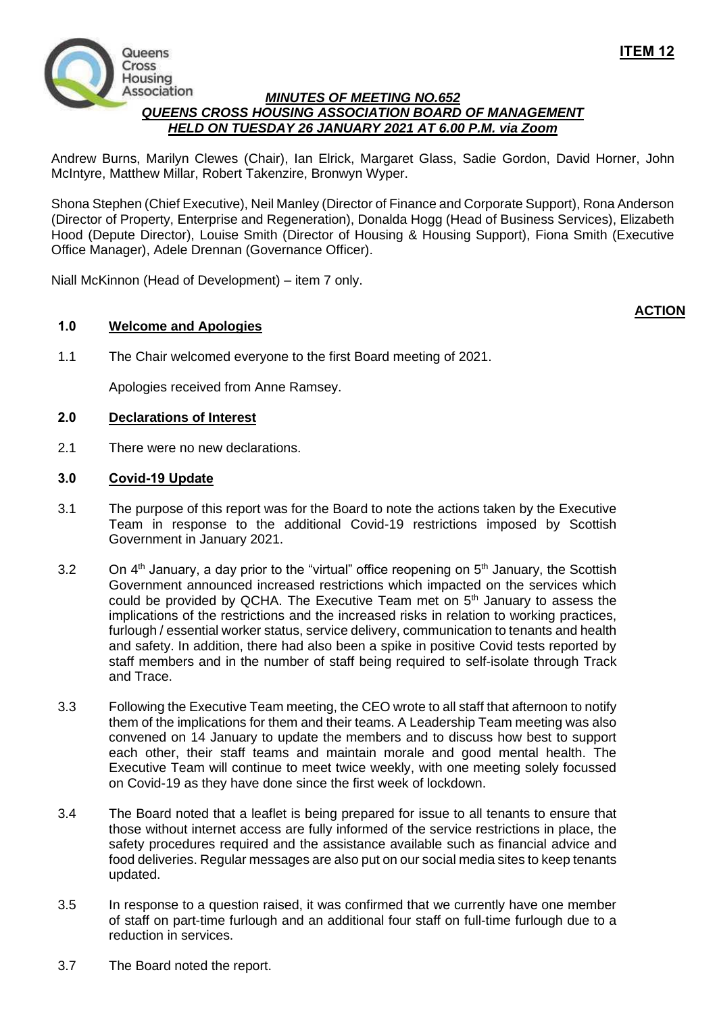

## *MINUTES OF MEETING NO.652 QUEENS CROSS HOUSING ASSOCIATION BOARD OF MANAGEMENT HELD ON TUESDAY 26 JANUARY 2021 AT 6.00 P.M. via Zoom*

Andrew Burns, Marilyn Clewes (Chair), Ian Elrick, Margaret Glass, Sadie Gordon, David Horner, John McIntyre, Matthew Millar, Robert Takenzire, Bronwyn Wyper.

Shona Stephen (Chief Executive), Neil Manley (Director of Finance and Corporate Support), Rona Anderson (Director of Property, Enterprise and Regeneration), Donalda Hogg (Head of Business Services), Elizabeth Hood (Depute Director), Louise Smith (Director of Housing & Housing Support), Fiona Smith (Executive Office Manager), Adele Drennan (Governance Officer).

Niall McKinnon (Head of Development) – item 7 only.

# **1.0 Welcome and Apologies**

1.1 The Chair welcomed everyone to the first Board meeting of 2021.

Apologies received from Anne Ramsey.

### **2.0 Declarations of Interest**

2.1 There were no new declarations.

### **3.0 Covid-19 Update**

- 3.1 The purpose of this report was for the Board to note the actions taken by the Executive Team in response to the additional Covid-19 restrictions imposed by Scottish Government in January 2021.
- 3.2 On  $4<sup>th</sup>$  January, a day prior to the "virtual" office reopening on  $5<sup>th</sup>$  January, the Scottish Government announced increased restrictions which impacted on the services which could be provided by QCHA. The Executive Team met on 5th January to assess the implications of the restrictions and the increased risks in relation to working practices, furlough / essential worker status, service delivery, communication to tenants and health and safety. In addition, there had also been a spike in positive Covid tests reported by staff members and in the number of staff being required to self-isolate through Track and Trace.
- 3.3 Following the Executive Team meeting, the CEO wrote to all staff that afternoon to notify them of the implications for them and their teams. A Leadership Team meeting was also convened on 14 January to update the members and to discuss how best to support each other, their staff teams and maintain morale and good mental health. The Executive Team will continue to meet twice weekly, with one meeting solely focussed on Covid-19 as they have done since the first week of lockdown.
- 3.4 The Board noted that a leaflet is being prepared for issue to all tenants to ensure that those without internet access are fully informed of the service restrictions in place, the safety procedures required and the assistance available such as financial advice and food deliveries. Regular messages are also put on our social media sites to keep tenants updated.
- 3.5 In response to a question raised, it was confirmed that we currently have one member of staff on part-time furlough and an additional four staff on full-time furlough due to a reduction in services.
- 3.7 The Board noted the report.

**ACTION**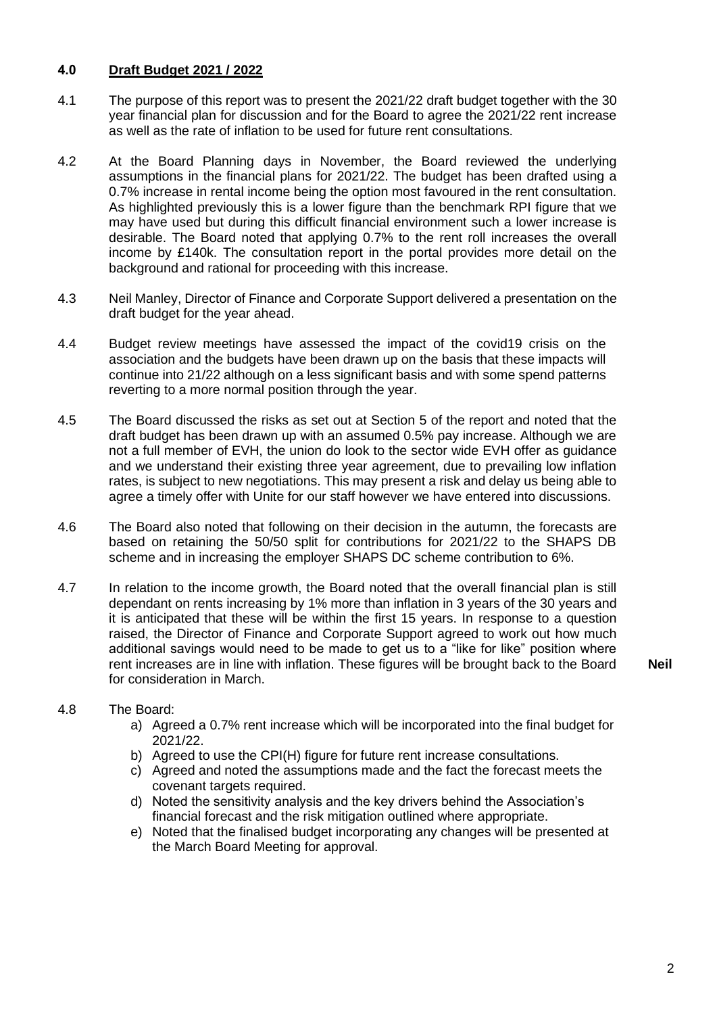# **4.0 Draft Budget 2021 / 2022**

- 4.1 The purpose of this report was to present the 2021/22 draft budget together with the 30 year financial plan for discussion and for the Board to agree the 2021/22 rent increase as well as the rate of inflation to be used for future rent consultations.
- 4.2 At the Board Planning days in November, the Board reviewed the underlying assumptions in the financial plans for 2021/22. The budget has been drafted using a 0.7% increase in rental income being the option most favoured in the rent consultation. As highlighted previously this is a lower figure than the benchmark RPI figure that we may have used but during this difficult financial environment such a lower increase is desirable. The Board noted that applying 0.7% to the rent roll increases the overall income by £140k. The consultation report in the portal provides more detail on the background and rational for proceeding with this increase.
- 4.3 Neil Manley, Director of Finance and Corporate Support delivered a presentation on the draft budget for the year ahead.
- 4.4 Budget review meetings have assessed the impact of the covid19 crisis on the association and the budgets have been drawn up on the basis that these impacts will continue into 21/22 although on a less significant basis and with some spend patterns reverting to a more normal position through the year.
- 4.5 The Board discussed the risks as set out at Section 5 of the report and noted that the draft budget has been drawn up with an assumed 0.5% pay increase. Although we are not a full member of EVH, the union do look to the sector wide EVH offer as guidance and we understand their existing three year agreement, due to prevailing low inflation rates, is subject to new negotiations. This may present a risk and delay us being able to agree a timely offer with Unite for our staff however we have entered into discussions.
- 4.6 The Board also noted that following on their decision in the autumn, the forecasts are based on retaining the 50/50 split for contributions for 2021/22 to the SHAPS DB scheme and in increasing the employer SHAPS DC scheme contribution to 6%.
- 4.7 In relation to the income growth, the Board noted that the overall financial plan is still dependant on rents increasing by 1% more than inflation in 3 years of the 30 years and it is anticipated that these will be within the first 15 years. In response to a question raised, the Director of Finance and Corporate Support agreed to work out how much additional savings would need to be made to get us to a "like for like" position where rent increases are in line with inflation. These figures will be brought back to the Board for consideration in March.

**Neil**

### 4.8 The Board:

- a) Agreed a 0.7% rent increase which will be incorporated into the final budget for 2021/22.
- b) Agreed to use the CPI(H) figure for future rent increase consultations.
- c) Agreed and noted the assumptions made and the fact the forecast meets the covenant targets required.
- d) Noted the sensitivity analysis and the key drivers behind the Association's financial forecast and the risk mitigation outlined where appropriate.
- e) Noted that the finalised budget incorporating any changes will be presented at the March Board Meeting for approval.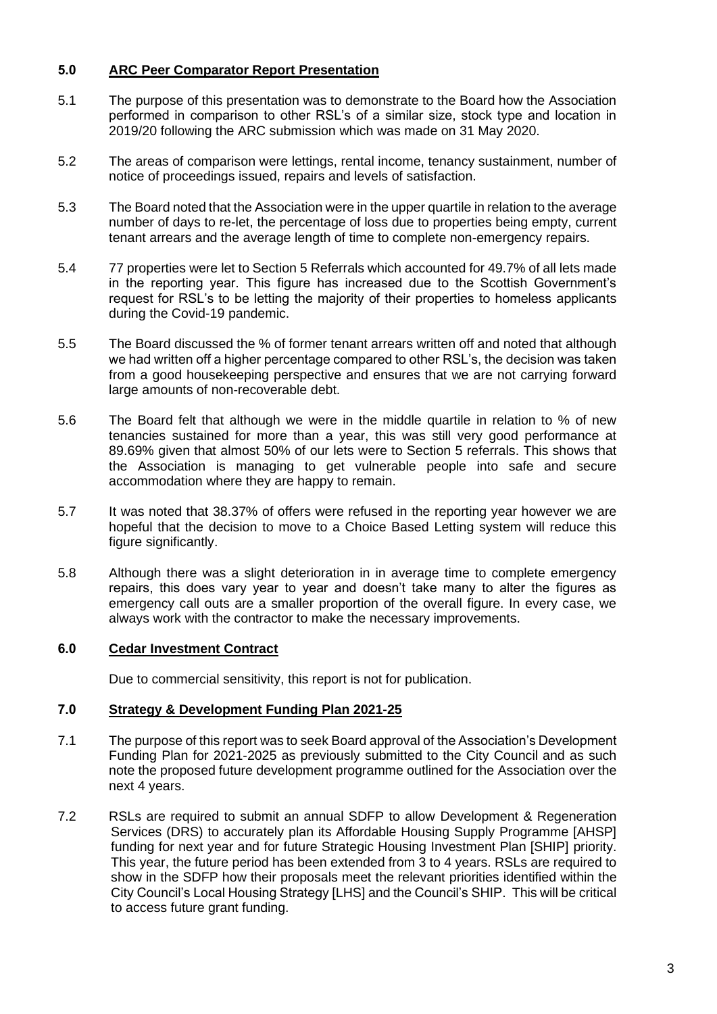## **5.0 ARC Peer Comparator Report Presentation**

- 5.1 The purpose of this presentation was to demonstrate to the Board how the Association performed in comparison to other RSL's of a similar size, stock type and location in 2019/20 following the ARC submission which was made on 31 May 2020.
- 5.2 The areas of comparison were lettings, rental income, tenancy sustainment, number of notice of proceedings issued, repairs and levels of satisfaction.
- 5.3 The Board noted that the Association were in the upper quartile in relation to the average number of days to re-let, the percentage of loss due to properties being empty, current tenant arrears and the average length of time to complete non-emergency repairs.
- 5.4 77 properties were let to Section 5 Referrals which accounted for 49.7% of all lets made in the reporting year. This figure has increased due to the Scottish Government's request for RSL's to be letting the majority of their properties to homeless applicants during the Covid-19 pandemic.
- 5.5 The Board discussed the % of former tenant arrears written off and noted that although we had written off a higher percentage compared to other RSL's, the decision was taken from a good housekeeping perspective and ensures that we are not carrying forward large amounts of non-recoverable debt.
- 5.6 The Board felt that although we were in the middle quartile in relation to % of new tenancies sustained for more than a year, this was still very good performance at 89.69% given that almost 50% of our lets were to Section 5 referrals. This shows that the Association is managing to get vulnerable people into safe and secure accommodation where they are happy to remain.
- 5.7 It was noted that 38.37% of offers were refused in the reporting year however we are hopeful that the decision to move to a Choice Based Letting system will reduce this figure significantly.
- 5.8 Although there was a slight deterioration in in average time to complete emergency repairs, this does vary year to year and doesn't take many to alter the figures as emergency call outs are a smaller proportion of the overall figure. In every case, we always work with the contractor to make the necessary improvements.

### **6.0 Cedar Investment Contract**

Due to commercial sensitivity, this report is not for publication.

### **7.0 Strategy & Development Funding Plan 2021-25**

- 7.1 The purpose of this report was to seek Board approval of the Association's Development Funding Plan for 2021-2025 as previously submitted to the City Council and as such note the proposed future development programme outlined for the Association over the next 4 years.
- 7.2 RSLs are required to submit an annual SDFP to allow Development & Regeneration Services (DRS) to accurately plan its Affordable Housing Supply Programme [AHSP] funding for next year and for future Strategic Housing Investment Plan [SHIP] priority. This year, the future period has been extended from 3 to 4 years. RSLs are required to show in the SDFP how their proposals meet the relevant priorities identified within the City Council's Local Housing Strategy [LHS] and the Council's SHIP. This will be critical to access future grant funding.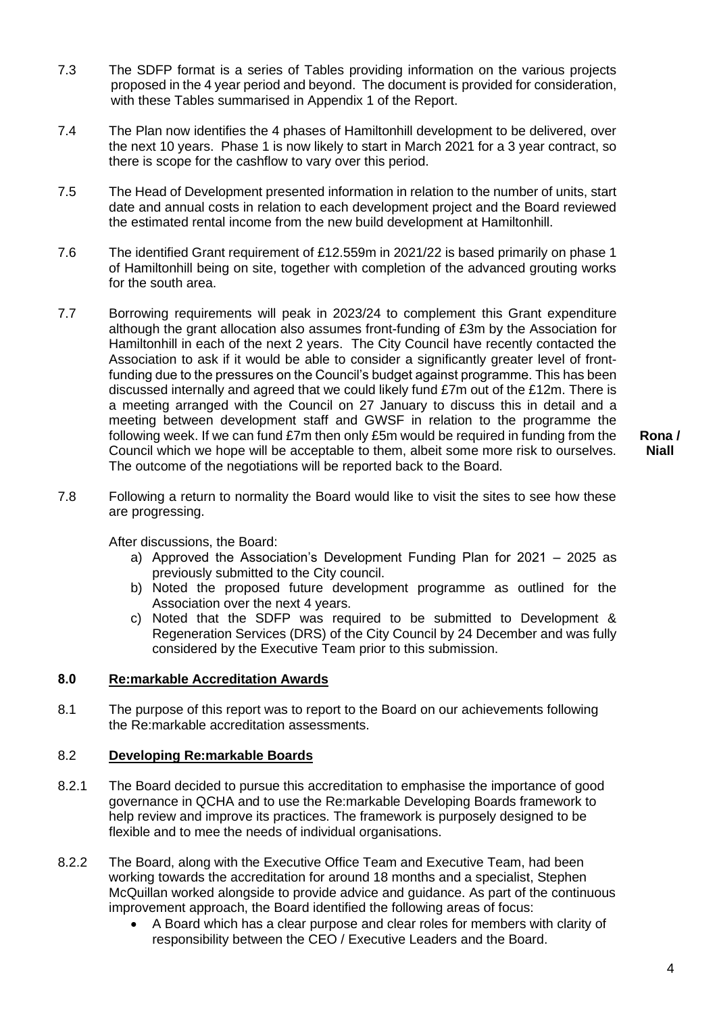- 7.3 The SDFP format is a series of Tables providing information on the various projects proposed in the 4 year period and beyond. The document is provided for consideration, with these Tables summarised in Appendix 1 of the Report.
- 7.4 The Plan now identifies the 4 phases of Hamiltonhill development to be delivered, over the next 10 years. Phase 1 is now likely to start in March 2021 for a 3 year contract, so there is scope for the cashflow to vary over this period.
- 7.5 The Head of Development presented information in relation to the number of units, start date and annual costs in relation to each development project and the Board reviewed the estimated rental income from the new build development at Hamiltonhill.
- 7.6 The identified Grant requirement of £12.559m in 2021/22 is based primarily on phase 1 of Hamiltonhill being on site, together with completion of the advanced grouting works for the south area.
- 7.7 Borrowing requirements will peak in 2023/24 to complement this Grant expenditure although the grant allocation also assumes front-funding of £3m by the Association for Hamiltonhill in each of the next 2 years. The City Council have recently contacted the Association to ask if it would be able to consider a significantly greater level of frontfunding due to the pressures on the Council's budget against programme. This has been discussed internally and agreed that we could likely fund £7m out of the £12m. There is a meeting arranged with the Council on 27 January to discuss this in detail and a meeting between development staff and GWSF in relation to the programme the following week. If we can fund £7m then only £5m would be required in funding from the Council which we hope will be acceptable to them, albeit some more risk to ourselves. The outcome of the negotiations will be reported back to the Board.

**Rona / Niall**

7.8 Following a return to normality the Board would like to visit the sites to see how these are progressing.

After discussions, the Board:

- a) Approved the Association's Development Funding Plan for 2021 2025 as previously submitted to the City council.
- b) Noted the proposed future development programme as outlined for the Association over the next 4 years.
- c) Noted that the SDFP was required to be submitted to Development & Regeneration Services (DRS) of the City Council by 24 December and was fully considered by the Executive Team prior to this submission.

### **8.0 Re:markable Accreditation Awards**

8.1 The purpose of this report was to report to the Board on our achievements following the Re:markable accreditation assessments.

### 8.2 **Developing Re:markable Boards**

- 8.2.1 The Board decided to pursue this accreditation to emphasise the importance of good governance in QCHA and to use the Re:markable Developing Boards framework to help review and improve its practices. The framework is purposely designed to be flexible and to mee the needs of individual organisations.
- 8.2.2 The Board, along with the Executive Office Team and Executive Team, had been working towards the accreditation for around 18 months and a specialist, Stephen McQuillan worked alongside to provide advice and guidance. As part of the continuous improvement approach, the Board identified the following areas of focus:
	- A Board which has a clear purpose and clear roles for members with clarity of responsibility between the CEO / Executive Leaders and the Board.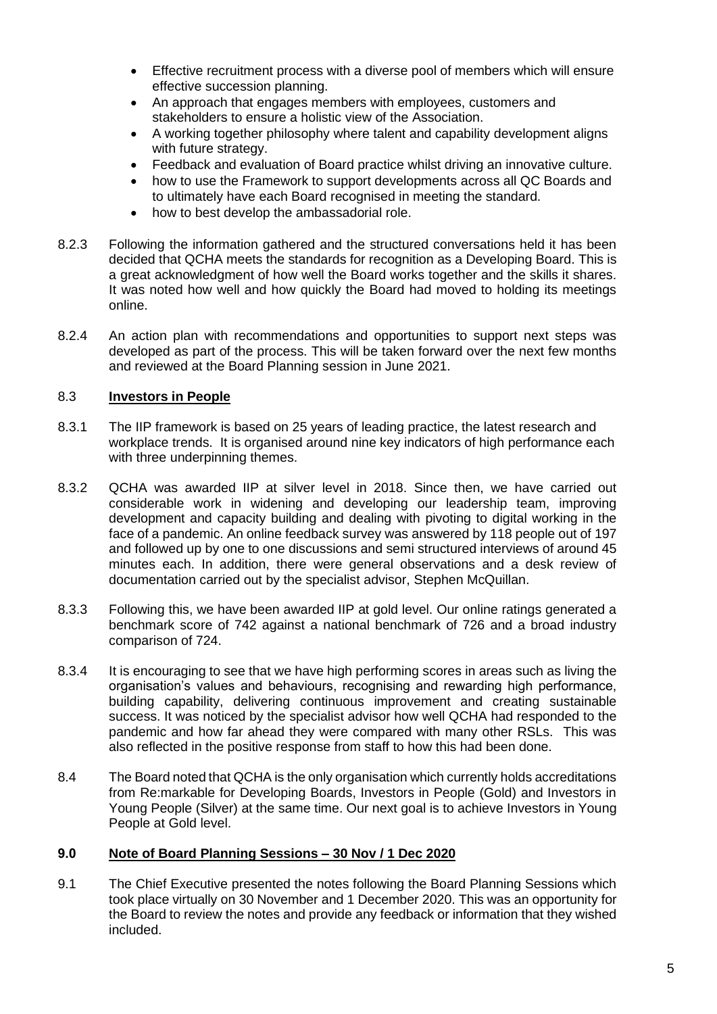- Effective recruitment process with a diverse pool of members which will ensure effective succession planning.
- An approach that engages members with employees, customers and stakeholders to ensure a holistic view of the Association.
- A working together philosophy where talent and capability development aligns with future strategy.
- Feedback and evaluation of Board practice whilst driving an innovative culture.
- how to use the Framework to support developments across all QC Boards and to ultimately have each Board recognised in meeting the standard.
- how to best develop the ambassadorial role.
- 8.2.3 Following the information gathered and the structured conversations held it has been decided that QCHA meets the standards for recognition as a Developing Board. This is a great acknowledgment of how well the Board works together and the skills it shares. It was noted how well and how quickly the Board had moved to holding its meetings online.
- 8.2.4 An action plan with recommendations and opportunities to support next steps was developed as part of the process. This will be taken forward over the next few months and reviewed at the Board Planning session in June 2021.

# 8.3 **Investors in People**

- 8.3.1 The IIP framework is based on 25 years of leading practice, the latest research and workplace trends. It is organised around nine key indicators of high performance each with three underpinning themes.
- 8.3.2 QCHA was awarded IIP at silver level in 2018. Since then, we have carried out considerable work in widening and developing our leadership team, improving development and capacity building and dealing with pivoting to digital working in the face of a pandemic. An online feedback survey was answered by 118 people out of 197 and followed up by one to one discussions and semi structured interviews of around 45 minutes each. In addition, there were general observations and a desk review of documentation carried out by the specialist advisor, Stephen McQuillan.
- 8.3.3 Following this, we have been awarded IIP at gold level. Our online ratings generated a benchmark score of 742 against a national benchmark of 726 and a broad industry comparison of 724.
- 8.3.4 It is encouraging to see that we have high performing scores in areas such as living the organisation's values and behaviours, recognising and rewarding high performance, building capability, delivering continuous improvement and creating sustainable success. It was noticed by the specialist advisor how well QCHA had responded to the pandemic and how far ahead they were compared with many other RSLs. This was also reflected in the positive response from staff to how this had been done.
- 8.4 The Board noted that QCHA is the only organisation which currently holds accreditations from Re:markable for Developing Boards, Investors in People (Gold) and Investors in Young People (Silver) at the same time. Our next goal is to achieve Investors in Young People at Gold level.

### **9.0 Note of Board Planning Sessions – 30 Nov / 1 Dec 2020**

9.1 The Chief Executive presented the notes following the Board Planning Sessions which took place virtually on 30 November and 1 December 2020. This was an opportunity for the Board to review the notes and provide any feedback or information that they wished included.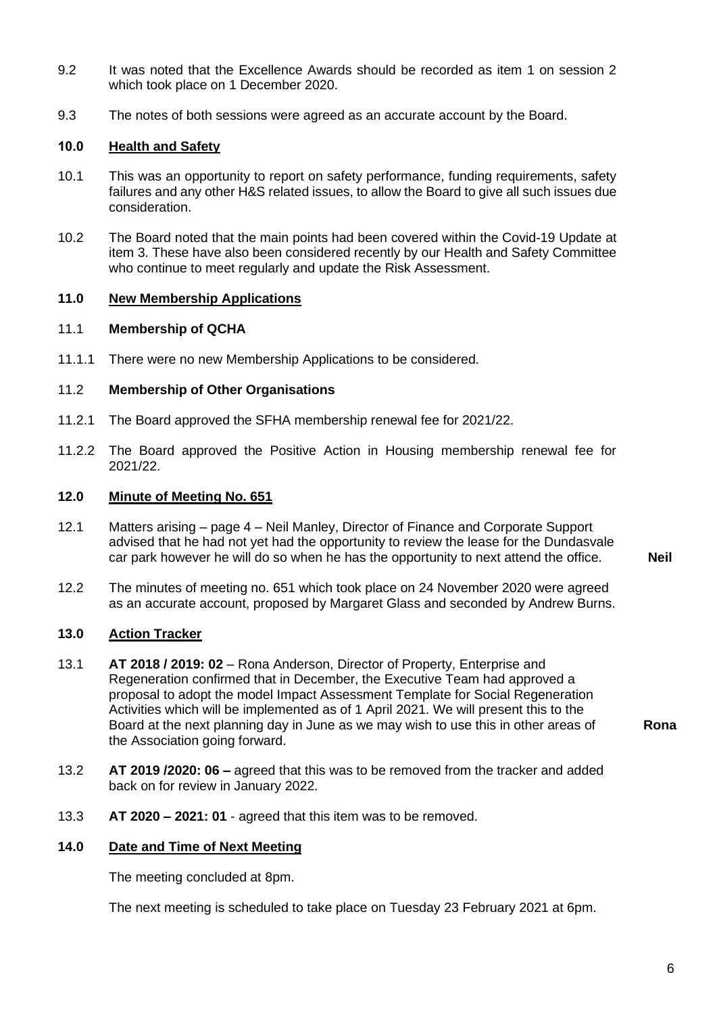- 9.2 It was noted that the Excellence Awards should be recorded as item 1 on session 2 which took place on 1 December 2020.
- 9.3 The notes of both sessions were agreed as an accurate account by the Board.

#### **10.0 Health and Safety**

- 10.1 This was an opportunity to report on safety performance, funding requirements, safety failures and any other H&S related issues, to allow the Board to give all such issues due consideration.
- 10.2 The Board noted that the main points had been covered within the Covid-19 Update at item 3. These have also been considered recently by our Health and Safety Committee who continue to meet regularly and update the Risk Assessment.

# **11.0 New Membership Applications**

#### 11.1 **Membership of QCHA**

11.1.1 There were no new Membership Applications to be considered.

### 11.2 **Membership of Other Organisations**

- 11.2.1 The Board approved the SFHA membership renewal fee for 2021/22.
- 11.2.2 The Board approved the Positive Action in Housing membership renewal fee for 2021/22.

## **12.0 Minute of Meeting No. 651**

- 12.1 Matters arising page 4 Neil Manley, Director of Finance and Corporate Support advised that he had not yet had the opportunity to review the lease for the Dundasvale car park however he will do so when he has the opportunity to next attend the office. **Neil**
- 12.2 The minutes of meeting no. 651 which took place on 24 November 2020 were agreed as an accurate account, proposed by Margaret Glass and seconded by Andrew Burns.

### **13.0 Action Tracker**

13.1 **AT 2018 / 2019: 02** – Rona Anderson, Director of Property, Enterprise and Regeneration confirmed that in December, the Executive Team had approved a proposal to adopt the model Impact Assessment Template for Social Regeneration Activities which will be implemented as of 1 April 2021. We will present this to the Board at the next planning day in June as we may wish to use this in other areas of the Association going forward.

**Rona**

- 13.2 **AT 2019 /2020: 06 –** agreed that this was to be removed from the tracker and added back on for review in January 2022.
- 13.3 **AT 2020 – 2021: 01** agreed that this item was to be removed.

#### **14.0 Date and Time of Next Meeting**

The meeting concluded at 8pm.

The next meeting is scheduled to take place on Tuesday 23 February 2021 at 6pm.